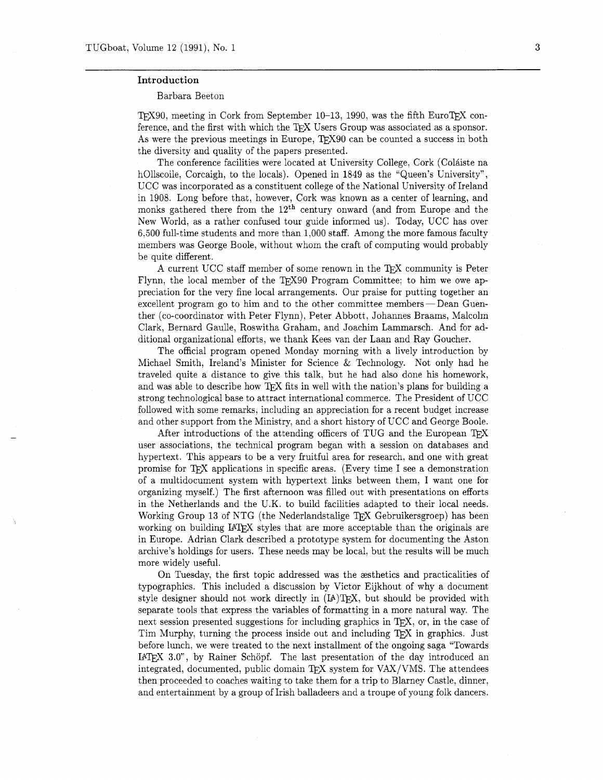## Introduction

## Barbara Beeton

TFX90, meeting in Cork from September 10-13, 1990, was the fifth EuroTFX conference, and the first with which the TFX Users Group was associated as a sponsor. As were the previous meetings in Europe, TEX90 can be counted a success in both the diversity and quality of the papers presented.

The conference facilities were located at University College, Cork (Coláiste na hOllscoile, Corcaigh, to the locals). Opened in 1849 as the "Queen's University", UCC was incorporated as a constituent college of the National University of Ireland in 1908. Long before that. however, Cork was known as a center of learning, and monks gathered there from the  $12<sup>th</sup>$  century onward (and from Europe and the New World. as a rather confused tour guide informed us). Today, UCC has over 6,500 full-time students and more than 1,000 staff. Among the more famous faculty members was George Boole, without whom the craft of computing would probably be quite different.

A current UCC staff member of some renown in the TFX community is Peter Flynn, the local member of the T<sub>F</sub>X90 Program Committee; to him we owe appreciation for the very fine local arrangements. Our praise for putting together an excellent program go to him and to the other committee members — Dean Guenther (co-coordinator with Peter Flynn), Peter Abbott , Johannes Braams, Malcolm Clark, Bernard Gaulle, Roswitha Graham, and Joachim Lammarsch. And for additional organizational efforts, we thank Kees van der Laan and Ray Goucher.

The official program opened Monday morning with a lively introduction by Michael Smith, Ireland's Minister for Science & Technology. Not only had he traveled quite a distance to give this talk, but he had also done his homework, and was able to describe how  $T_{F}X$  fits in well with the nation's plans for building a strong technological base to attract international commerce. The President of UCC followed with some remarks, including an appreciation for a recent budget increase and other support from the Ministry, and a short history of UCC and George Boole.

After introductions of the attending officers of TUG and the European *QX*  user associations, the technical program began with a session on databases and hypertext. This appears to be a very fruitful area for research, and one with great promise for TFX applications in specific areas. (Every time I see a demonstration of a multidocument system with hypertext links between them, I want one for organizing myself.) The first afternoon was filled out with presentations on efforts in the Netherlands and the U.K. to build facilities adapted to their local needs. Working Group 13 of NTG (the Nederlandstalige TEX Gebruikersgroep) has been working on building IAT<sub>F</sub>X styles that are more acceptable than the originals are in Europe. Adrian Clark described a prototype system for documenting the Aston archive's holdings for users. These needs may be local, but the results will be much more widely useful.

On Tuesday, the first topic addressed was the exitetics and practicalities of typographics. This included a discussion by Victor Eijkhout of why a document style designer should not work directly in  $(IA)TFX$ , but should be provided with separate tools that express the variables of formatting in a more natural way. The next session presented suggestions for including graphics in T<sub>F</sub>X, or, in the case of Tim Murphy, turning the process inside out and including QX in graphics. Just before lunch, we were treated to the next installment of the ongoing saga "Towards I4TFX 3.0", by Rainer Schöpf. The last presentation of the day introduced an integrated, documented, public domain TFX system for VAX/VMS. The attendees then proceeded to coaches waiting to take them for a trip to Blarney Castle, dinner, and entertainment by a group of Irish balladeers and a troupe of young folk dancers.